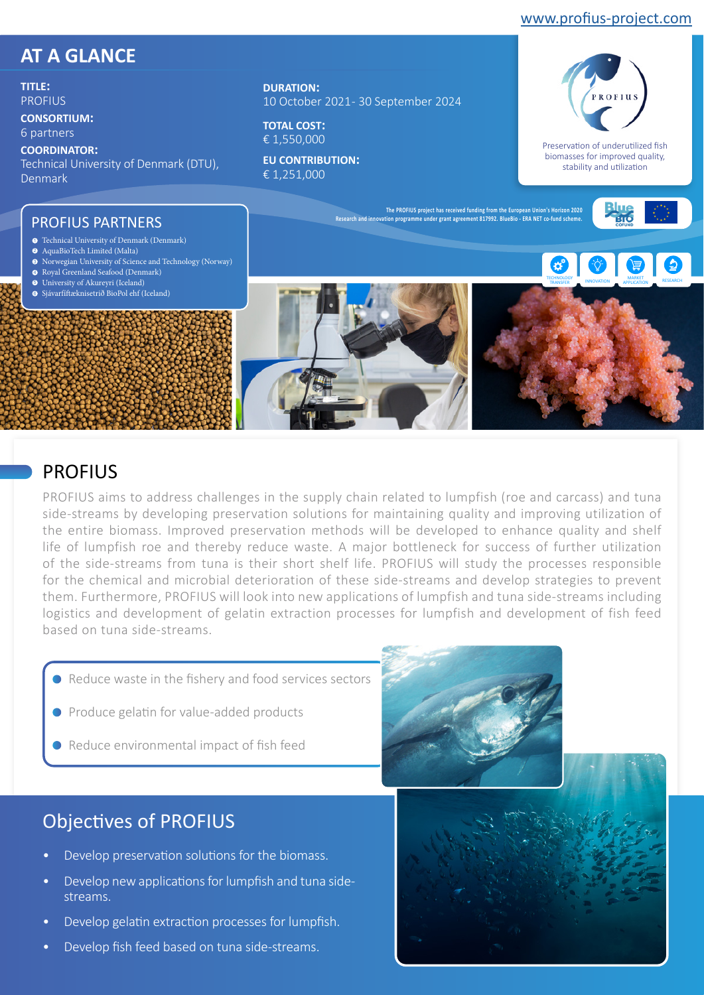#### [www.profius-project.com](https://profius-project.com/)

## **AT A GLANCE**

**TITLE: PROFILIS** 

**CONSORTIUM:** 

6 partners

**COORDINATOR:** 

Technical University of Denmark (DTU), Denmark

**DURATION:**  10 October 2021 - 30 September 2024

**TOTAL COST:**  € 1,550,000

**EU CONTRIBUTION:**  € 1,251,000



Preservation of underutilized fish biomasses for improved quality, stability and utilization

INNOVATION **MARKET** RESEARCH

#### PROFIUS PARTNERS

- Technical University of Denmark (Denmark) 1
- 2 AquaBioTech Limited (Malta)
- 3 Norwegian University of Science and Technology (Norway)
- Royal Greenland Seafood (Denmark) 4
- University of Akureyri (Iceland) 5 Sjávarfíftæknisetrið BioPol ehf (Iceland) 6



**The PROFIUS project has received funding from the European Union's Horizon 2020 Research and innovation programme under grant agreement 817992. BlueBio - ERA NET co-fund scheme.**

#### PROFIUS

PROFIUS aims to address challenges in the supply chain related to lumpfish (roe and carcass) and tuna side-streams by developing preservation solutions for maintaining quality and improving utilization of the entire biomass. Improved preservation methods will be developed to enhance quality and shelf life of lumpfish roe and thereby reduce waste. A major bottleneck for success of further utilization of the side-streams from tuna is their short shelf life. PROFIUS will study the processes responsible for the chemical and microbial deterioration of these side-streams and develop strategies to prevent them. Furthermore, PROFIUS will look into new applications of lumpfish and tuna side-streams including logistics and development of gelatin extraction processes for lumpfish and development of fish feed based on tuna side-streams.

- Reduce waste in the fishery and food services sectors
- Produce gelatin for value-added products
- Reduce environmental impact of fish feed

## Objectives of PROFIUS

- Develop preservation solutions for the biomass.
- Develop new applications for lumpfish and tuna sidestreams.
- Develop gelatin extraction processes for lumpfish.
- Develop fish feed based on tuna side-streams.